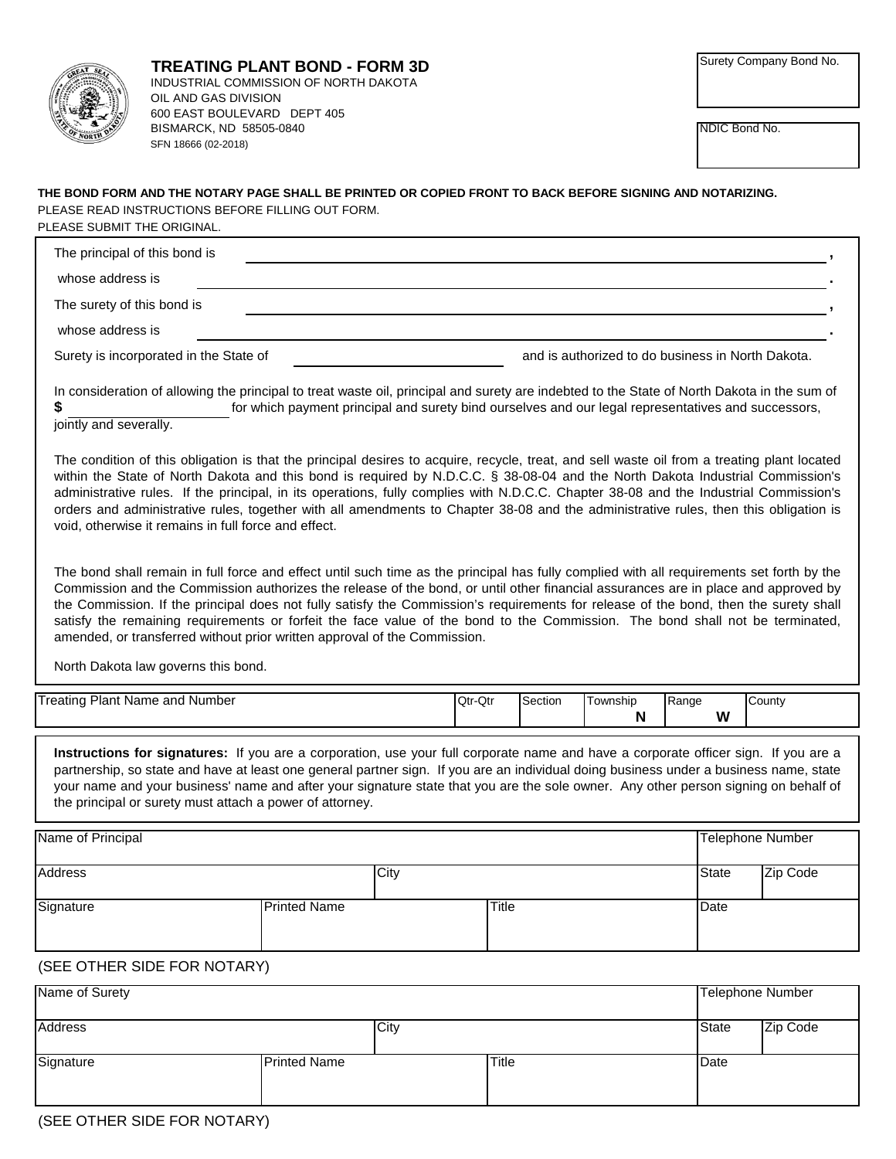|--|

NDIC Bond No.

## **THE BOND FORM AND THE NOTARY PAGE SHALL BE PRINTED OR COPIED FRONT TO BACK BEFORE SIGNING AND NOTARIZING.** PLEASE SUBMIT THE ORIGINAL. PLEASE READ INSTRUCTIONS BEFORE FILLING OUT FORM.

| The principal of this bond is          |                                                   |
|----------------------------------------|---------------------------------------------------|
| whose address is                       |                                                   |
| The surety of this bond is             |                                                   |
| whose address is                       |                                                   |
| Surety is incorporated in the State of | and is authorized to do business in North Dakota. |

**\$** for which payment principal and surety bind ourselves and our legal representatives and successors, In consideration of allowing the principal to treat waste oil, principal and surety are indebted to the State of North Dakota in the sum of

jointly and severally.

The condition of this obligation is that the principal desires to acquire, recycle, treat, and sell waste oil from a treating plant located within the State of North Dakota and this bond is required by N.D.C.C. § 38-08-04 and the North Dakota Industrial Commission's administrative rules. If the principal, in its operations, fully complies with N.D.C.C. Chapter 38-08 and the Industrial Commission's orders and administrative rules, together with all amendments to Chapter 38-08 and the administrative rules, then this obligation is void, otherwise it remains in full force and effect.

The bond shall remain in full force and effect until such time as the principal has fully complied with all requirements set forth by the Commission and the Commission authorizes the release of the bond, or until other financial assurances are in place and approved by the Commission. If the principal does not fully satisfy the Commission's requirements for release of the bond, then the surety shall satisfy the remaining requirements or forfeit the face value of the bond to the Commission. The bond shall not be terminated, amended, or transferred without prior written approval of the Commission.

North Dakota law governs this bond.

| Plant<br>Number<br>and<br>$\sim$<br>Name<br>eau | $\bigcap_{i=1}^{n}$<br>IQtr-Qtr | $\sim$<br>Section | Γownship    | Range | County |
|-------------------------------------------------|---------------------------------|-------------------|-------------|-------|--------|
|                                                 |                                 |                   | $\sim$<br>N | W     |        |
|                                                 |                                 |                   |             |       |        |

**Instructions for signatures:** If you are a corporation, use your full corporate name and have a corporate officer sign. If you are a partnership, so state and have at least one general partner sign. If you are an individual doing business under a business name, state your name and your business' name and after your signature state that you are the sole owner. Any other person signing on behalf of the principal or surety must attach a power of attorney.

| Name of Principal |                     |       | Telephone Number |          |
|-------------------|---------------------|-------|------------------|----------|
| <b>Address</b>    | City                |       | <b>State</b>     | Zip Code |
| Signature         | <b>Printed Name</b> | Title | Date             |          |

## (SEE OTHER SIDE FOR NOTARY)

| Name of Surety |                     |      |              | Telephone Number |          |
|----------------|---------------------|------|--------------|------------------|----------|
| Address        |                     | City |              | <b>State</b>     | Zip Code |
| Signature      | <b>Printed Name</b> |      | <b>Title</b> | Date             |          |